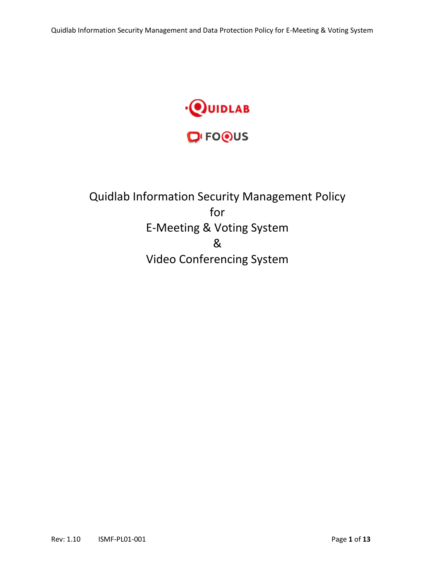

# Quidlab Information Security Management Policy for E-Meeting & Voting System & Video Conferencing System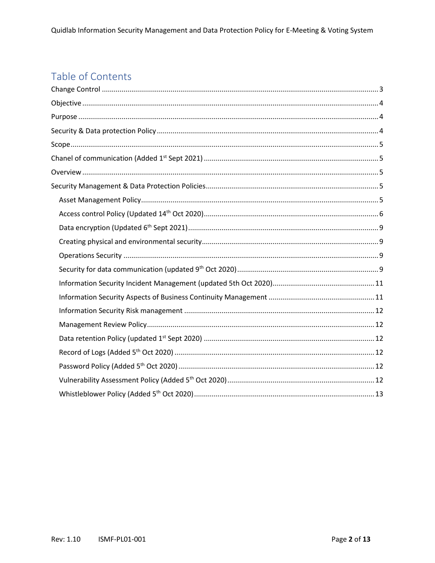# Table of Contents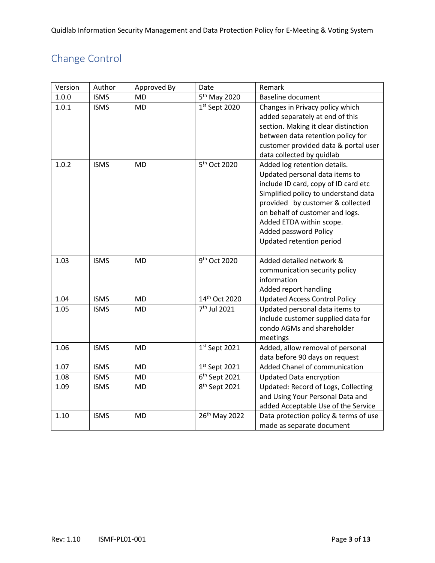# <span id="page-2-0"></span>Change Control

| Version | Author      | Approved By | Date                      | Remark                                |
|---------|-------------|-------------|---------------------------|---------------------------------------|
| 1.0.0   | <b>ISMS</b> | <b>MD</b>   | 5 <sup>th</sup> May 2020  | <b>Baseline document</b>              |
| 1.0.1   | <b>ISMS</b> | <b>MD</b>   | $1st$ Sept 2020           | Changes in Privacy policy which       |
|         |             |             |                           | added separately at end of this       |
|         |             |             |                           | section. Making it clear distinction  |
|         |             |             |                           | between data retention policy for     |
|         |             |             |                           | customer provided data & portal user  |
|         |             |             |                           | data collected by quidlab             |
| 1.0.2   | <b>ISMS</b> | <b>MD</b>   | 5 <sup>th</sup> Oct 2020  | Added log retention details.          |
|         |             |             |                           | Updated personal data items to        |
|         |             |             |                           | include ID card, copy of ID card etc  |
|         |             |             |                           | Simplified policy to understand data  |
|         |             |             |                           | provided by customer & collected      |
|         |             |             |                           | on behalf of customer and logs.       |
|         |             |             |                           | Added ETDA within scope.              |
|         |             |             |                           | <b>Added password Policy</b>          |
|         |             |             |                           | Updated retention period              |
|         |             |             |                           |                                       |
| 1.03    | <b>ISMS</b> | <b>MD</b>   | 9 <sup>th</sup> Oct 2020  | Added detailed network &              |
|         |             |             |                           | communication security policy         |
|         |             |             |                           | information                           |
|         |             |             |                           | Added report handling                 |
| 1.04    | <b>ISMS</b> | <b>MD</b>   | 14th Oct 2020             | <b>Updated Access Control Policy</b>  |
| 1.05    | <b>ISMS</b> | <b>MD</b>   | 7 <sup>th</sup> Jul 2021  | Updated personal data items to        |
|         |             |             |                           | include customer supplied data for    |
|         |             |             |                           | condo AGMs and shareholder            |
|         |             |             |                           | meetings                              |
| 1.06    | <b>ISMS</b> | <b>MD</b>   | $1st$ Sept 2021           | Added, allow removal of personal      |
|         |             |             |                           | data before 90 days on request        |
| 1.07    | <b>ISMS</b> | MD          | $1st$ Sept 2021           | Added Chanel of communication         |
| 1.08    | <b>ISMS</b> | <b>MD</b>   | $6th$ Sept 2021           | <b>Updated Data encryption</b>        |
| 1.09    | <b>ISMS</b> | <b>MD</b>   | 8 <sup>th</sup> Sept 2021 | Updated: Record of Logs, Collecting   |
|         |             |             |                           | and Using Your Personal Data and      |
|         |             |             |                           | added Acceptable Use of the Service   |
| 1.10    | <b>ISMS</b> | <b>MD</b>   | 26th May 2022             | Data protection policy & terms of use |
|         |             |             |                           | made as separate document             |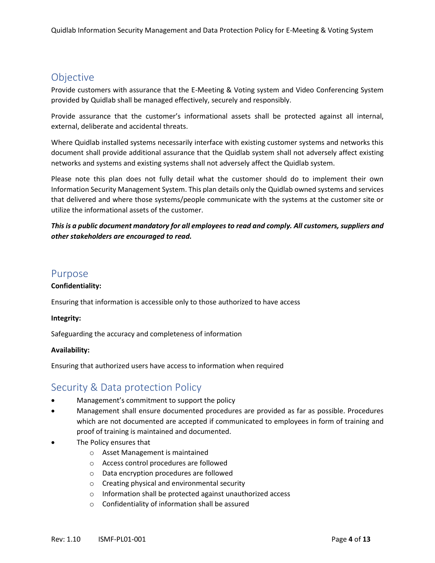## <span id="page-3-0"></span>Objective

Provide customers with assurance that the E-Meeting & Voting system and Video Conferencing System provided by Quidlab shall be managed effectively, securely and responsibly.

Provide assurance that the customer's informational assets shall be protected against all internal, external, deliberate and accidental threats.

Where Quidlab installed systems necessarily interface with existing customer systems and networks this document shall provide additional assurance that the Quidlab system shall not adversely affect existing networks and systems and existing systems shall not adversely affect the Quidlab system.

Please note this plan does not fully detail what the customer should do to implement their own Information Security Management System. This plan details only the Quidlab owned systems and services that delivered and where those systems/people communicate with the systems at the customer site or utilize the informational assets of the customer.

*This is a public document mandatory for all employees to read and comply. All customers, suppliers and other stakeholders are encouraged to read.*

## <span id="page-3-1"></span>Purpose

#### **Confidentiality:**

Ensuring that information is accessible only to those authorized to have access

#### **Integrity:**

Safeguarding the accuracy and completeness of information

#### **Availability:**

Ensuring that authorized users have access to information when required

## <span id="page-3-2"></span>Security & Data protection Policy

- Management's commitment to support the policy
- Management shall ensure documented procedures are provided as far as possible. Procedures which are not documented are accepted if communicated to employees in form of training and proof of training is maintained and documented.
- The Policy ensures that
	- o Asset Management is maintained
	- o Access control procedures are followed
	- o Data encryption procedures are followed
	- o Creating physical and environmental security
	- o Information shall be protected against unauthorized access
	- o Confidentiality of information shall be assured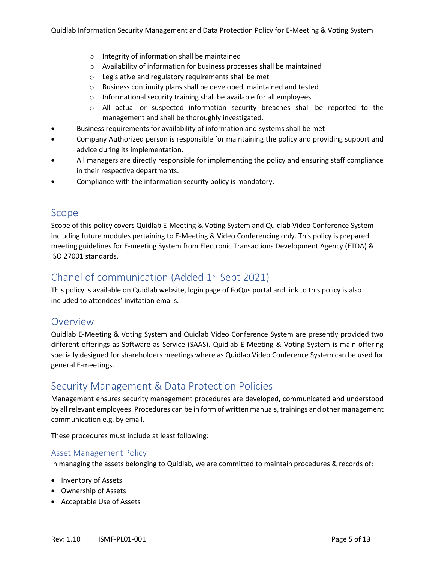- o Integrity of information shall be maintained
- o Availability of information for business processes shall be maintained
- o Legislative and regulatory requirements shall be met
- o Business continuity plans shall be developed, maintained and tested
- o Informational security training shall be available for all employees
- o All actual or suspected information security breaches shall be reported to the management and shall be thoroughly investigated.
- Business requirements for availability of information and systems shall be met
- Company Authorized person is responsible for maintaining the policy and providing support and advice during its implementation.
- All managers are directly responsible for implementing the policy and ensuring staff compliance in their respective departments.
- Compliance with the information security policy is mandatory.

## <span id="page-4-0"></span>Scope

Scope of this policy covers Quidlab E-Meeting & Voting System and Quidlab Video Conference System including future modules pertaining to E-Meeting & Video Conferencing only. This policy is prepared meeting guidelines for E-meeting System from Electronic Transactions Development Agency (ETDA) & ISO 27001 standards.

## <span id="page-4-1"></span>Chanel of communication (Added 1st Sept 2021)

This policy is available on Quidlab website, login page of FoQus portal and link to this policy is also included to attendees' invitation emails.

## <span id="page-4-2"></span>**Overview**

Quidlab E-Meeting & Voting System and Quidlab Video Conference System are presently provided two different offerings as Software as Service (SAAS). Quidlab E-Meeting & Voting System is main offering specially designed for shareholders meetings where as Quidlab Video Conference System can be used for general E-meetings.

## <span id="page-4-3"></span>Security Management & Data Protection Policies

Management ensures security management procedures are developed, communicated and understood by all relevant employees. Procedures can be in form of written manuals, trainings and other management communication e.g. by email.

These procedures must include at least following:

#### <span id="page-4-4"></span>Asset Management Policy

In managing the assets belonging to Quidlab, we are committed to maintain procedures & records of:

- Inventory of Assets
- Ownership of Assets
- Acceptable Use of Assets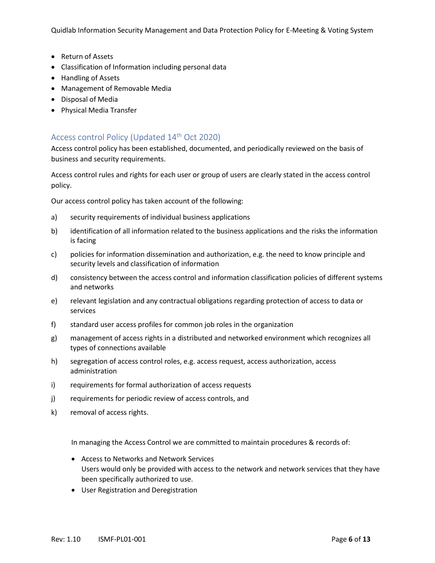Quidlab Information Security Management and Data Protection Policy for E-Meeting & Voting System

- Return of Assets
- Classification of Information including personal data
- Handling of Assets
- Management of Removable Media
- Disposal of Media
- Physical Media Transfer

## <span id="page-5-0"></span>Access control Policy (Updated 14th Oct 2020)

Access control policy has been established, documented, and periodically reviewed on the basis of business and security requirements.

Access control rules and rights for each user or group of users are clearly stated in the access control policy.

Our access control policy has taken account of the following:

- a) security requirements of individual business applications
- b) identification of all information related to the business applications and the risks the information is facing
- c) policies for information dissemination and authorization, e.g. the need to know principle and security levels and classification of information
- d) consistency between the access control and information classification policies of different systems and networks
- e) relevant legislation and any contractual obligations regarding protection of access to data or services
- f) standard user access profiles for common job roles in the organization
- g) management of access rights in a distributed and networked environment which recognizes all types of connections available
- h) segregation of access control roles, e.g. access request, access authorization, access administration
- i) requirements for formal authorization of access requests
- j) requirements for periodic review of access controls, and
- k) removal of access rights.

In managing the Access Control we are committed to maintain procedures & records of:

- Access to Networks and Network Services Users would only be provided with access to the network and network services that they have been specifically authorized to use.
- User Registration and Deregistration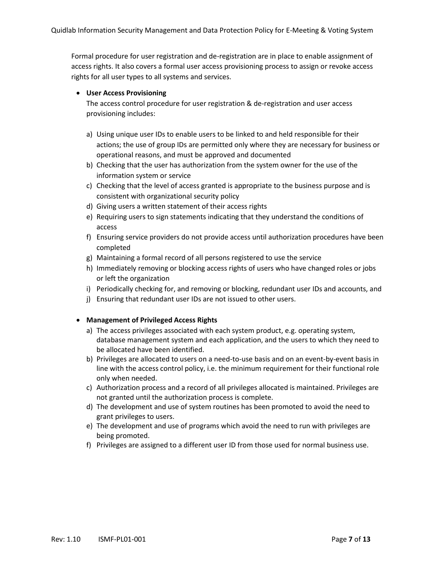Formal procedure for user registration and de-registration are in place to enable assignment of access rights. It also covers a formal user access provisioning process to assign or revoke access rights for all user types to all systems and services.

#### • **User Access Provisioning**

The access control procedure for user registration & de-registration and user access provisioning includes:

- a) Using unique user IDs to enable users to be linked to and held responsible for their actions; the use of group IDs are permitted only where they are necessary for business or operational reasons, and must be approved and documented
- b) Checking that the user has authorization from the system owner for the use of the information system or service
- c) Checking that the level of access granted is appropriate to the business purpose and is consistent with organizational security policy
- d) Giving users a written statement of their access rights
- e) Requiring users to sign statements indicating that they understand the conditions of access
- f) Ensuring service providers do not provide access until authorization procedures have been completed
- g) Maintaining a formal record of all persons registered to use the service
- h) Immediately removing or blocking access rights of users who have changed roles or jobs or left the organization
- i) Periodically checking for, and removing or blocking, redundant user IDs and accounts, and
- j) Ensuring that redundant user IDs are not issued to other users.

#### • **Management of Privileged Access Rights**

- a) The access privileges associated with each system product, e.g. operating system, database management system and each application, and the users to which they need to be allocated have been identified.
- b) Privileges are allocated to users on a need-to-use basis and on an event-by-event basis in line with the access control policy, i.e. the minimum requirement for their functional role only when needed.
- c) Authorization process and a record of all privileges allocated is maintained. Privileges are not granted until the authorization process is complete.
- d) The development and use of system routines has been promoted to avoid the need to grant privileges to users.
- e) The development and use of programs which avoid the need to run with privileges are being promoted.
- f) Privileges are assigned to a different user ID from those used for normal business use.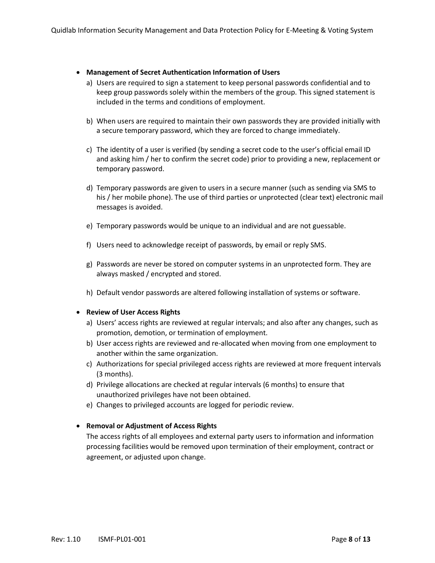#### • **Management of Secret Authentication Information of Users**

- a) Users are required to sign a statement to keep personal passwords confidential and to keep group passwords solely within the members of the group. This signed statement is included in the terms and conditions of employment.
- b) When users are required to maintain their own passwords they are provided initially with a secure temporary password, which they are forced to change immediately.
- c) The identity of a user is verified (by sending a secret code to the user's official email ID and asking him / her to confirm the secret code) prior to providing a new, replacement or temporary password.
- d) Temporary passwords are given to users in a secure manner (such as sending via SMS to his / her mobile phone). The use of third parties or unprotected (clear text) electronic mail messages is avoided.
- e) Temporary passwords would be unique to an individual and are not guessable.
- f) Users need to acknowledge receipt of passwords, by email or reply SMS.
- g) Passwords are never be stored on computer systems in an unprotected form. They are always masked / encrypted and stored.
- h) Default vendor passwords are altered following installation of systems or software.

#### • **Review of User Access Rights**

- a) Users' access rights are reviewed at regular intervals; and also after any changes, such as promotion, demotion, or termination of employment.
- b) User access rights are reviewed and re-allocated when moving from one employment to another within the same organization.
- c) Authorizations for special privileged access rights are reviewed at more frequent intervals (3 months).
- d) Privilege allocations are checked at regular intervals (6 months) to ensure that unauthorized privileges have not been obtained.
- e) Changes to privileged accounts are logged for periodic review.

#### • **Removal or Adjustment of Access Rights**

The access rights of all employees and external party users to information and information processing facilities would be removed upon termination of their employment, contract or agreement, or adjusted upon change.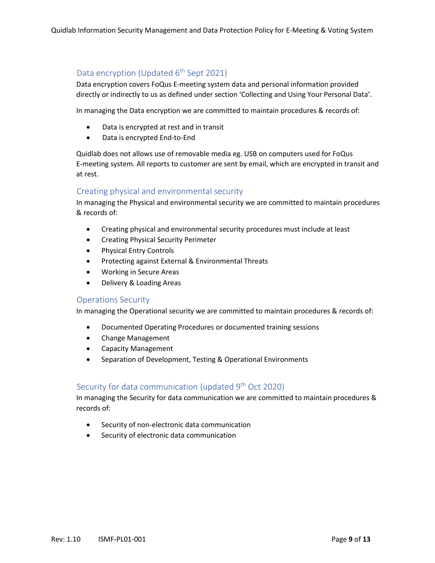## <span id="page-8-0"></span>Data encryption (Updated 6<sup>th</sup> Sept 2021)

Data encryption covers FoQus E-meeting system data and personal information provided directly or indirectly to us as defined under section 'Collecting and Using Your Personal Data'.

In managing the Data encryption we are committed to maintain procedures & records of:

- Data is encrypted at rest and in transit
- Data is encrypted End-to-End

Quidlab does not allows use of removable media eg. USB on computers used for FoQus E-meeting system. All reports to customer are sent by email, which are encrypted in transit and at rest.

#### <span id="page-8-1"></span>Creating physical and environmental security

In managing the Physical and environmental security we are committed to maintain procedures & records of:

- Creating physical and environmental security procedures must include at least
- Creating Physical Security Perimeter
- Physical Entry Controls
- Protecting against External & Environmental Threats
- Working in Secure Areas
- Delivery & Loading Areas

#### <span id="page-8-2"></span>Operations Security

In managing the Operational security we are committed to maintain procedures & records of:

- Documented Operating Procedures or documented training sessions
- Change Management
- Capacity Management
- Separation of Development, Testing & Operational Environments

## <span id="page-8-3"></span>Security for data communication (updated 9<sup>th</sup> Oct 2020)

In managing the Security for data communication we are committed to maintain procedures & records of:

- Security of non-electronic data communication
- Security of electronic data communication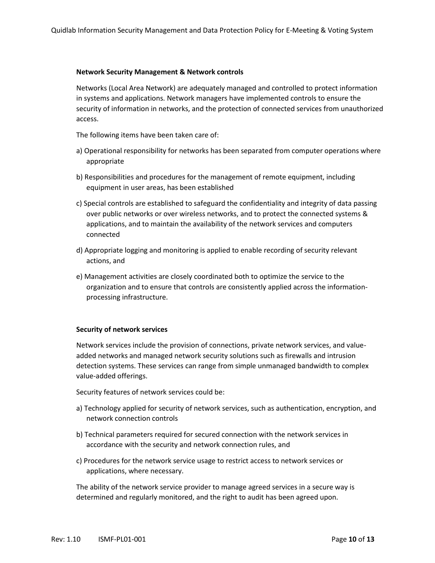#### **Network Security Management & Network controls**

Networks (Local Area Network) are adequately managed and controlled to protect information in systems and applications. Network managers have implemented controls to ensure the security of information in networks, and the protection of connected services from unauthorized access.

The following items have been taken care of:

- a) Operational responsibility for networks has been separated from computer operations where appropriate
- b) Responsibilities and procedures for the management of remote equipment, including equipment in user areas, has been established
- c) Special controls are established to safeguard the confidentiality and integrity of data passing over public networks or over wireless networks, and to protect the connected systems & applications, and to maintain the availability of the network services and computers connected
- d) Appropriate logging and monitoring is applied to enable recording of security relevant actions, and
- e) Management activities are closely coordinated both to optimize the service to the organization and to ensure that controls are consistently applied across the informationprocessing infrastructure.

#### **Security of network services**

Network services include the provision of connections, private network services, and valueadded networks and managed network security solutions such as firewalls and intrusion detection systems. These services can range from simple unmanaged bandwidth to complex value-added offerings.

Security features of network services could be:

- a) Technology applied for security of network services, such as authentication, encryption, and network connection controls
- b) Technical parameters required for secured connection with the network services in accordance with the security and network connection rules, and
- c) Procedures for the network service usage to restrict access to network services or applications, where necessary.

The ability of the network service provider to manage agreed services in a secure way is determined and regularly monitored, and the right to audit has been agreed upon.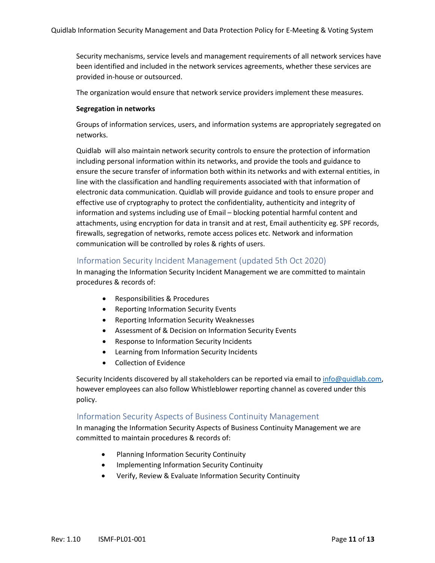Security mechanisms, service levels and management requirements of all network services have been identified and included in the network services agreements, whether these services are provided in-house or outsourced.

The organization would ensure that network service providers implement these measures.

#### **Segregation in networks**

Groups of information services, users, and information systems are appropriately segregated on networks.

Quidlab will also maintain network security controls to ensure the protection of information including personal information within its networks, and provide the tools and guidance to ensure the secure transfer of information both within its networks and with external entities, in line with the classification and handling requirements associated with that information of electronic data communication. Quidlab will provide guidance and tools to ensure proper and effective use of cryptography to protect the confidentiality, authenticity and integrity of information and systems including use of Email – blocking potential harmful content and attachments, using encryption for data in transit and at rest, Email authenticity eg. SPF records, firewalls, segregation of networks, remote access polices etc. Network and information communication will be controlled by roles & rights of users.

#### <span id="page-10-0"></span>Information Security Incident Management (updated 5th Oct 2020)

In managing the Information Security Incident Management we are committed to maintain procedures & records of:

- Responsibilities & Procedures
- Reporting Information Security Events
- Reporting Information Security Weaknesses
- Assessment of & Decision on Information Security Events
- Response to Information Security Incidents
- Learning from Information Security Incidents
- Collection of Evidence

Security Incidents discovered by all stakeholders can be reported via email to [info@quidlab.com,](mailto:info@quidlab.com) however employees can also follow Whistleblower reporting channel as covered under this policy.

#### <span id="page-10-1"></span>Information Security Aspects of Business Continuity Management

In managing the Information Security Aspects of Business Continuity Management we are committed to maintain procedures & records of:

- Planning Information Security Continuity
- Implementing Information Security Continuity
- Verify, Review & Evaluate Information Security Continuity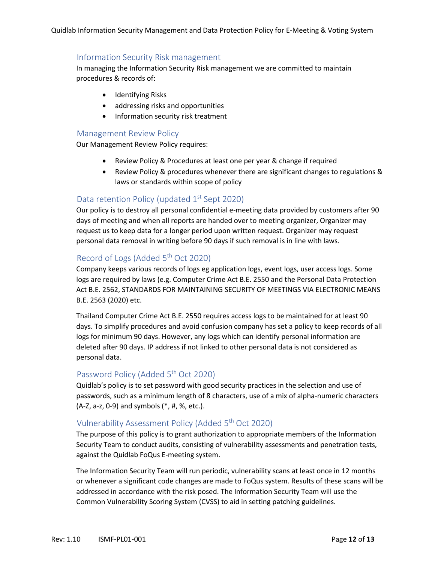#### <span id="page-11-0"></span>Information Security Risk management

In managing the Information Security Risk management we are committed to maintain procedures & records of:

- Identifying Risks
- addressing risks and opportunities
- Information security risk treatment

#### <span id="page-11-1"></span>Management Review Policy

Our Management Review Policy requires:

- Review Policy & Procedures at least one per year & change if required
- Review Policy & procedures whenever there are significant changes to regulations & laws or standards within scope of policy

## <span id="page-11-2"></span>Data retention Policy (updated 1<sup>st</sup> Sept 2020)

Our policy is to destroy all personal confidential e-meeting data provided by customers after 90 days of meeting and when all reports are handed over to meeting organizer, Organizer may request us to keep data for a longer period upon written request. Organizer may request personal data removal in writing before 90 days if such removal is in line with laws.

## <span id="page-11-3"></span>Record of Logs (Added 5<sup>th</sup> Oct 2020)

Company keeps various records of logs eg application logs, event logs, user access logs. Some logs are required by laws (e.g. Computer Crime Act B.E. 2550 and the Personal Data Protection Act B.E. 2562, STANDARDS FOR MAINTAINING SECURITY OF MEETINGS VIA ELECTRONIC MEANS B.E. 2563 (2020) etc.

Thailand Computer Crime Act B.E. 2550 requires access logs to be maintained for at least 90 days. To simplify procedures and avoid confusion company has set a policy to keep records of all logs for minimum 90 days. However, any logs which can identify personal information are deleted after 90 days. IP address if not linked to other personal data is not considered as personal data.

## <span id="page-11-4"></span>Password Policy (Added 5<sup>th</sup> Oct 2020)

Quidlab's policy is to set password with good security practices in the selection and use of passwords, such as a minimum length of 8 characters, use of a mix of alpha-numeric characters (A-Z, a-z, 0-9) and symbols (\*, #, %, etc.).

## <span id="page-11-5"></span>Vulnerability Assessment Policy (Added 5<sup>th</sup> Oct 2020)

The purpose of this policy is to grant authorization to appropriate members of the Information Security Team to conduct audits, consisting of vulnerability assessments and penetration tests, against the Quidlab FoQus E-meeting system.

The Information Security Team will run periodic, vulnerability scans at least once in 12 months or whenever a significant code changes are made to FoQus system. Results of these scans will be addressed in accordance with the risk posed. The Information Security Team will use the Common Vulnerability Scoring System (CVSS) to aid in setting patching guidelines.